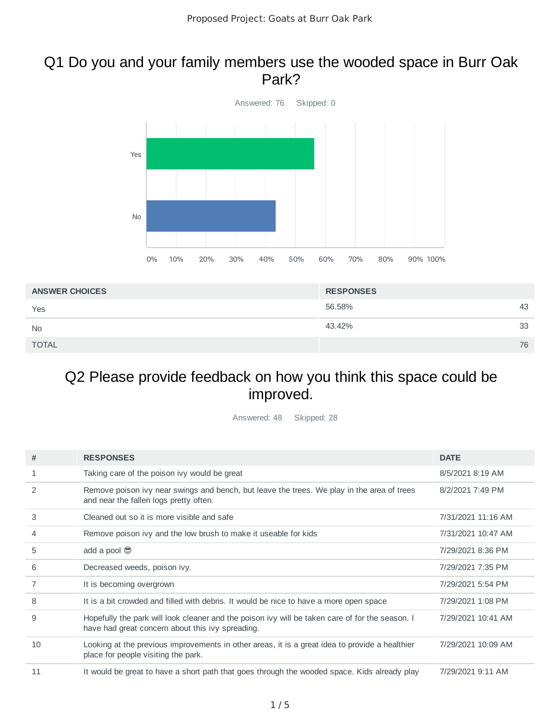### Q1 Do you and your family members use the wooded space in Burr Oak Park?



| <b>ANSWER CHOICES</b> | <b>RESPONSES</b> |    |
|-----------------------|------------------|----|
| Yes                   | 56.58%           | 43 |
| <b>No</b>             | 43.42%           | 33 |
| <b>TOTAL</b>          |                  | 76 |

### Q2 Please provide feedback on how you think this space could be improved.

Answered: 48 Skipped: 28

| #  | <b>RESPONSES</b>                                                                                                                                    | <b>DATE</b>        |
|----|-----------------------------------------------------------------------------------------------------------------------------------------------------|--------------------|
| 1  | Taking care of the poison ivy would be great                                                                                                        | 8/5/2021 8:19 AM   |
| 2  | Remove poison ivy near swings and bench, but leave the trees. We play in the area of trees<br>and near the fallen logs pretty often.                | 8/2/2021 7:49 PM   |
| 3  | Cleaned out so it is more visible and safe                                                                                                          | 7/31/2021 11:16 AM |
| 4  | Remove poison ivy and the low brush to make it useable for kids                                                                                     | 7/31/2021 10:47 AM |
| 5  | add a pool $\odot$                                                                                                                                  | 7/29/2021 8:36 PM  |
| 6  | Decreased weeds, poison ivy.                                                                                                                        | 7/29/2021 7:35 PM  |
| 7  | It is becoming overgrown                                                                                                                            | 7/29/2021 5:54 PM  |
| 8  | It is a bit crowded and filled with debris. It would be nice to have a more open space                                                              | 7/29/2021 1:08 PM  |
| 9  | Hopefully the park will look cleaner and the poison ivy will be taken care of for the season. I<br>have had great concern about this ivy spreading. | 7/29/2021 10:41 AM |
| 10 | Looking at the previous improvements in other areas, it is a great idea to provide a healthier<br>place for people visiting the park.               | 7/29/2021 10:09 AM |
| 11 | It would be great to have a short path that goes through the wooded space. Kids already play                                                        | 7/29/2021 9:11 AM  |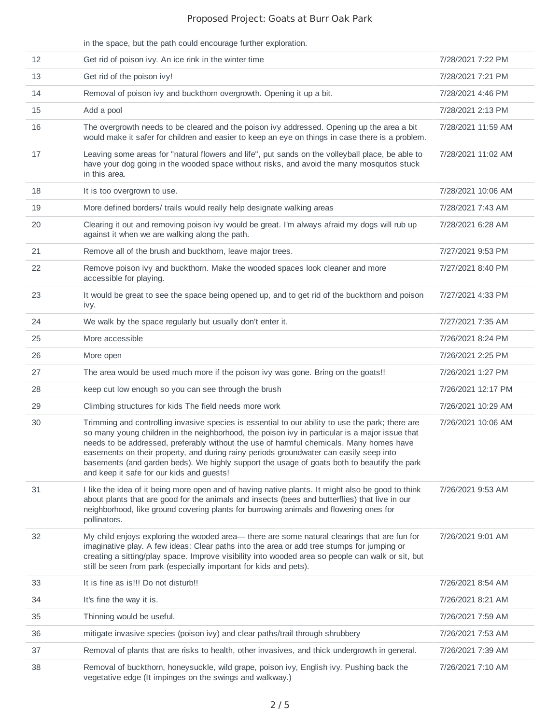### Proposed Project: Goats at Burr Oak Park

|    | in the space, but the path could encourage further exploration.                                                                                                                                                                                                                                                                                                                                                                                                                                                                     |                    |
|----|-------------------------------------------------------------------------------------------------------------------------------------------------------------------------------------------------------------------------------------------------------------------------------------------------------------------------------------------------------------------------------------------------------------------------------------------------------------------------------------------------------------------------------------|--------------------|
| 12 | Get rid of poison ivy. An ice rink in the winter time                                                                                                                                                                                                                                                                                                                                                                                                                                                                               | 7/28/2021 7:22 PM  |
| 13 | Get rid of the poison ivy!                                                                                                                                                                                                                                                                                                                                                                                                                                                                                                          | 7/28/2021 7:21 PM  |
| 14 | Removal of poison ivy and buckthorn overgrowth. Opening it up a bit.                                                                                                                                                                                                                                                                                                                                                                                                                                                                | 7/28/2021 4:46 PM  |
| 15 | Add a pool                                                                                                                                                                                                                                                                                                                                                                                                                                                                                                                          | 7/28/2021 2:13 PM  |
| 16 | The overgrowth needs to be cleared and the poison ivy addressed. Opening up the area a bit<br>would make it safer for children and easier to keep an eye on things in case there is a problem.                                                                                                                                                                                                                                                                                                                                      | 7/28/2021 11:59 AM |
| 17 | Leaving some areas for "natural flowers and life", put sands on the volleyball place, be able to<br>have your dog going in the wooded space without risks, and avoid the many mosquitos stuck<br>in this area.                                                                                                                                                                                                                                                                                                                      | 7/28/2021 11:02 AM |
| 18 | It is too overgrown to use.                                                                                                                                                                                                                                                                                                                                                                                                                                                                                                         | 7/28/2021 10:06 AM |
| 19 | More defined borders/ trails would really help designate walking areas                                                                                                                                                                                                                                                                                                                                                                                                                                                              | 7/28/2021 7:43 AM  |
| 20 | Clearing it out and removing poison ivy would be great. I'm always afraid my dogs will rub up<br>against it when we are walking along the path.                                                                                                                                                                                                                                                                                                                                                                                     | 7/28/2021 6:28 AM  |
| 21 | Remove all of the brush and buckthorn, leave major trees.                                                                                                                                                                                                                                                                                                                                                                                                                                                                           | 7/27/2021 9:53 PM  |
| 22 | Remove poison ivy and buckthorn. Make the wooded spaces look cleaner and more<br>accessible for playing.                                                                                                                                                                                                                                                                                                                                                                                                                            | 7/27/2021 8:40 PM  |
| 23 | It would be great to see the space being opened up, and to get rid of the buckthorn and poison<br>ivy.                                                                                                                                                                                                                                                                                                                                                                                                                              | 7/27/2021 4:33 PM  |
| 24 | We walk by the space regularly but usually don't enter it.                                                                                                                                                                                                                                                                                                                                                                                                                                                                          | 7/27/2021 7:35 AM  |
| 25 | More accessible                                                                                                                                                                                                                                                                                                                                                                                                                                                                                                                     | 7/26/2021 8:24 PM  |
| 26 | More open                                                                                                                                                                                                                                                                                                                                                                                                                                                                                                                           | 7/26/2021 2:25 PM  |
| 27 | The area would be used much more if the poison ivy was gone. Bring on the goats!!                                                                                                                                                                                                                                                                                                                                                                                                                                                   | 7/26/2021 1:27 PM  |
| 28 | keep cut low enough so you can see through the brush                                                                                                                                                                                                                                                                                                                                                                                                                                                                                | 7/26/2021 12:17 PM |
| 29 | Climbing structures for kids The field needs more work                                                                                                                                                                                                                                                                                                                                                                                                                                                                              | 7/26/2021 10:29 AM |
| 30 | Trimming and controlling invasive species is essential to our ability to use the park; there are<br>so many young children in the neighborhood, the poison ivy in particular is a major issue that<br>needs to be addressed, preferably without the use of harmful chemicals. Many homes have<br>easements on their property, and during rainy periods groundwater can easily seep into<br>basements (and garden beds). We highly support the usage of goats both to beautify the park<br>and keep it safe for our kids and guests! | 7/26/2021 10:06 AM |
| 31 | I like the idea of it being more open and of having native plants. It might also be good to think<br>about plants that are good for the animals and insects (bees and butterflies) that live in our<br>neighborhood, like ground covering plants for burrowing animals and flowering ones for<br>pollinators.                                                                                                                                                                                                                       | 7/26/2021 9:53 AM  |
| 32 | My child enjoys exploring the wooded area— there are some natural clearings that are fun for<br>imaginative play. A few ideas: Clear paths into the area or add tree stumps for jumping or<br>creating a sitting/play space. Improve visibility into wooded area so people can walk or sit, but<br>still be seen from park (especially important for kids and pets).                                                                                                                                                                | 7/26/2021 9:01 AM  |
| 33 | It is fine as is!!! Do not disturb!!                                                                                                                                                                                                                                                                                                                                                                                                                                                                                                | 7/26/2021 8:54 AM  |
| 34 | It's fine the way it is.                                                                                                                                                                                                                                                                                                                                                                                                                                                                                                            | 7/26/2021 8:21 AM  |
| 35 | Thinning would be useful.                                                                                                                                                                                                                                                                                                                                                                                                                                                                                                           | 7/26/2021 7:59 AM  |
| 36 | mitigate invasive species (poison ivy) and clear paths/trail through shrubbery                                                                                                                                                                                                                                                                                                                                                                                                                                                      | 7/26/2021 7:53 AM  |
| 37 | Removal of plants that are risks to health, other invasives, and thick undergrowth in general.                                                                                                                                                                                                                                                                                                                                                                                                                                      | 7/26/2021 7:39 AM  |
| 38 | Removal of buckthorn, honeysuckle, wild grape, poison ivy, English ivy. Pushing back the<br>vegetative edge (It impinges on the swings and walkway.)                                                                                                                                                                                                                                                                                                                                                                                | 7/26/2021 7:10 AM  |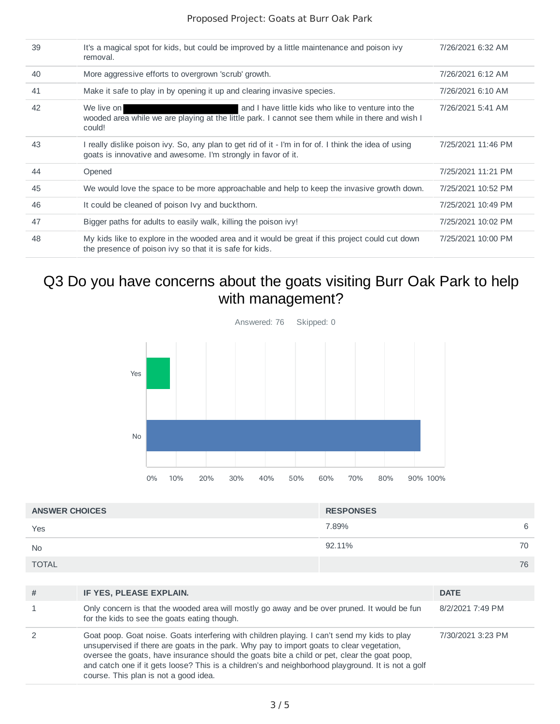#### Proposed Project: Goats at Burr Oak Park

| 39 | It's a magical spot for kids, but could be improved by a little maintenance and poison ivy<br>removal.                                                                          | 7/26/2021 6:32 AM  |
|----|---------------------------------------------------------------------------------------------------------------------------------------------------------------------------------|--------------------|
| 40 | More aggressive efforts to overgrown 'scrub' growth.                                                                                                                            | 7/26/2021 6:12 AM  |
| 41 | Make it safe to play in by opening it up and clearing invasive species.                                                                                                         | 7/26/2021 6:10 AM  |
| 42 | We live on<br>and I have little kids who like to venture into the<br>wooded area while we are playing at the little park. I cannot see them while in there and wish I<br>could! | 7/26/2021 5:41 AM  |
| 43 | I really dislike poison ivy. So, any plan to get rid of it - I'm in for of. I think the idea of using<br>goats is innovative and awesome. I'm strongly in favor of it.          | 7/25/2021 11:46 PM |
| 44 | Opened                                                                                                                                                                          | 7/25/2021 11:21 PM |
| 45 | We would love the space to be more approachable and help to keep the invasive growth down.                                                                                      | 7/25/2021 10:52 PM |
| 46 | It could be cleaned of poison Ivy and buckthorn.                                                                                                                                | 7/25/2021 10:49 PM |
| 47 | Bigger paths for adults to easily walk, killing the poison ivy!                                                                                                                 | 7/25/2021 10:02 PM |
| 48 | My kids like to explore in the wooded area and it would be great if this project could cut down<br>the presence of poison ivy so that it is safe for kids.                      | 7/25/2021 10:00 PM |

# Q3 Do you have concerns about the goats visiting Burr Oak Park to help with management?



| <b>ANSWER CHOICES</b> | <b>RESPONSES</b> |    |
|-----------------------|------------------|----|
| Yes                   | 7.89%            | 6  |
| <b>No</b>             | 92.11%           | 70 |
| <b>TOTAL</b>          |                  | 76 |

| # | IF YES, PLEASE EXPLAIN.                                                                                                                                                                                                                                                                                                                                                                                                                  | <b>DATE</b>       |
|---|------------------------------------------------------------------------------------------------------------------------------------------------------------------------------------------------------------------------------------------------------------------------------------------------------------------------------------------------------------------------------------------------------------------------------------------|-------------------|
|   | Only concern is that the wooded area will mostly go away and be over pruned. It would be fun<br>for the kids to see the goats eating though.                                                                                                                                                                                                                                                                                             | 8/2/2021 7:49 PM  |
|   | Goat poop. Goat noise. Goats interfering with children playing. I can't send my kids to play<br>unsupervised if there are goats in the park. Why pay to import goats to clear vegetation,<br>oversee the goats, have insurance should the goats bite a child or pet, clear the goat poop,<br>and catch one if it gets loose? This is a children's and neighborhood playground. It is not a golf<br>course. This plan is not a good idea. | 7/30/2021 3:23 PM |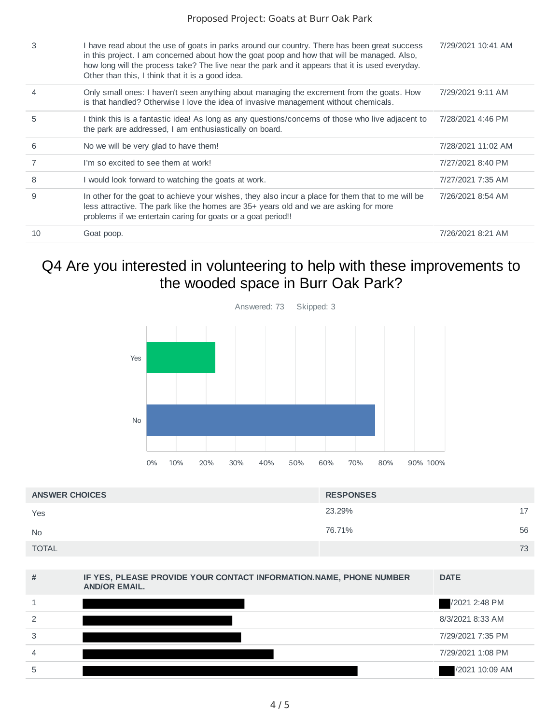#### Proposed Project: Goats at Burr Oak Park

| 3  | I have read about the use of goats in parks around our country. There has been great success<br>in this project. I am concerned about how the goat poop and how that will be managed. Also,<br>how long will the process take? The live near the park and it appears that it is used everyday.<br>Other than this, I think that it is a good idea. | 7/29/2021 10:41 AM |
|----|----------------------------------------------------------------------------------------------------------------------------------------------------------------------------------------------------------------------------------------------------------------------------------------------------------------------------------------------------|--------------------|
| 4  | Only small ones: I haven't seen anything about managing the excrement from the goats. How<br>is that handled? Otherwise I love the idea of invasive management without chemicals.                                                                                                                                                                  | 7/29/2021 9:11 AM  |
| 5  | I think this is a fantastic idea! As long as any questions/concerns of those who live adjacent to<br>the park are addressed, I am enthusiastically on board.                                                                                                                                                                                       | 7/28/2021 4:46 PM  |
| 6  | No we will be very glad to have them!                                                                                                                                                                                                                                                                                                              | 7/28/2021 11:02 AM |
|    | I'm so excited to see them at work!                                                                                                                                                                                                                                                                                                                | 7/27/2021 8:40 PM  |
| 8  | I would look forward to watching the goats at work.                                                                                                                                                                                                                                                                                                | 7/27/2021 7:35 AM  |
| 9  | In other for the goat to achieve your wishes, they also incur a place for them that to me will be<br>less attractive. The park like the homes are 35+ years old and we are asking for more<br>problems if we entertain caring for goats or a goat period!!                                                                                         | 7/26/2021 8:54 AM  |
| 10 | Goat poop.                                                                                                                                                                                                                                                                                                                                         | 7/26/2021 8:21 AM  |

## Q4 Are you interested in volunteering to help with these improvements to the wooded space in Burr Oak Park?



| <b>ANSWER CHOICES</b> | <b>RESPONSES</b> |    |
|-----------------------|------------------|----|
| Yes                   | 23.29%           | 17 |
| <b>No</b>             | 76.71%           | 56 |
| <b>TOTAL</b>          |                  | 73 |